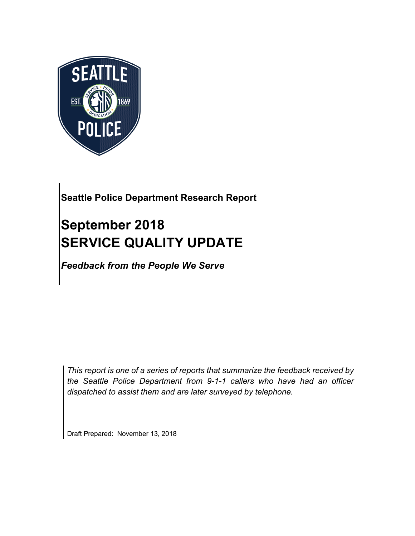

## **Seattle Police Department Research Report**

# **September 2018 SERVICE QUALITY UPDATE**

*Feedback from the People We Serve*

*This report is one of a series of reports that summarize the feedback received by the Seattle Police Department from 9-1-1 callers who have had an officer dispatched to assist them and are later surveyed by telephone.*

Draft Prepared: November 13, 2018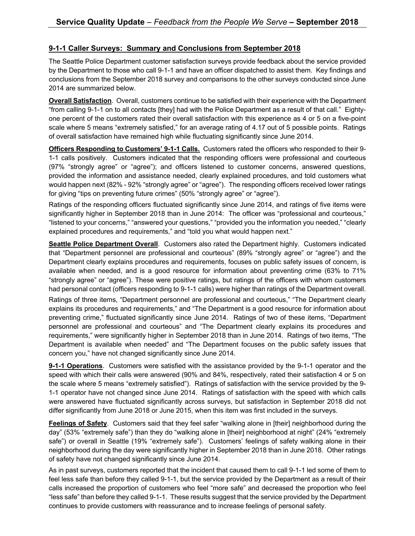#### **9-1-1 Caller Surveys: Summary and Conclusions from September 2018**

The Seattle Police Department customer satisfaction surveys provide feedback about the service provided by the Department to those who call 9-1-1 and have an officer dispatched to assist them. Key findings and conclusions from the September 2018 survey and comparisons to the other surveys conducted since June 2014 are summarized below.

**Overall Satisfaction**. Overall, customers continue to be satisfied with their experience with the Department "from calling 9-1-1 on to all contacts [they] had with the Police Department as a result of that call." Eightyone percent of the customers rated their overall satisfaction with this experience as 4 or 5 on a five-point scale where 5 means "extremely satisfied," for an average rating of 4.17 out of 5 possible points. Ratings of overall satisfaction have remained high while fluctuating significantly since June 2014.

**Officers Responding to Customers' 9-1-1 Calls.** Customers rated the officers who responded to their 9- 1-1 calls positively. Customers indicated that the responding officers were professional and courteous (97% "strongly agree" or "agree"); and officers listened to customer concerns, answered questions, provided the information and assistance needed, clearly explained procedures, and told customers what would happen next (82% - 92% "strongly agree" or "agree"). The responding officers received lower ratings for giving "tips on preventing future crimes" (50% "strongly agree" or "agree").

Ratings of the responding officers fluctuated significantly since June 2014, and ratings of five items were significantly higher in September 2018 than in June 2014: The officer was "professional and courteous," "listened to your concerns," "answered your questions," "provided you the information you needed," "clearly explained procedures and requirements," and "told you what would happen next."

**Seattle Police Department Overall**. Customers also rated the Department highly. Customers indicated that "Department personnel are professional and courteous" (89% "strongly agree" or "agree") and the Department clearly explains procedures and requirements, focuses on public safety issues of concern, is available when needed, and is a good resource for information about preventing crime (63% to 71% "strongly agree" or "agree"). These were positive ratings, but ratings of the officers with whom customers had personal contact (officers responding to 9-1-1 calls) were higher than ratings of the Department overall.

Ratings of three items, "Department personnel are professional and courteous," "The Department clearly explains its procedures and requirements," and "The Department is a good resource for information about preventing crime," fluctuated significantly since June 2014. Ratings of two of these items, "Department personnel are professional and courteous" and "The Department clearly explains its procedures and requirements," were significantly higher in September 2018 than in June 2014. Ratings of two items, "The Department is available when needed" and "The Department focuses on the public safety issues that concern you," have not changed significantly since June 2014.

**9-1-1 Operations**. Customers were satisfied with the assistance provided by the 9-1-1 operator and the speed with which their calls were answered (90% and 84%, respectively, rated their satisfaction 4 or 5 on the scale where 5 means "extremely satisfied"). Ratings of satisfaction with the service provided by the 9- 1-1 operator have not changed since June 2014. Ratings of satisfaction with the speed with which calls were answered have fluctuated significantly across surveys, but satisfaction in September 2018 did not differ significantly from June 2018 or June 2015, when this item was first included in the surveys.

**Feelings of Safety**. Customers said that they feel safer "walking alone in [their] neighborhood during the day" (53% "extremely safe") than they do "walking alone in [their] neighborhood at night" (24% "extremely safe") or overall in Seattle (19% "extremely safe"). Customers' feelings of safety walking alone in their neighborhood during the day were significantly higher in September 2018 than in June 2018. Other ratings of safety have not changed significantly since June 2014.

As in past surveys, customers reported that the incident that caused them to call 9-1-1 led some of them to feel less safe than before they called 9-1-1, but the service provided by the Department as a result of their calls increased the proportion of customers who feel "more safe" and decreased the proportion who feel "less safe" than before they called 9-1-1. These results suggest that the service provided by the Department continues to provide customers with reassurance and to increase feelings of personal safety.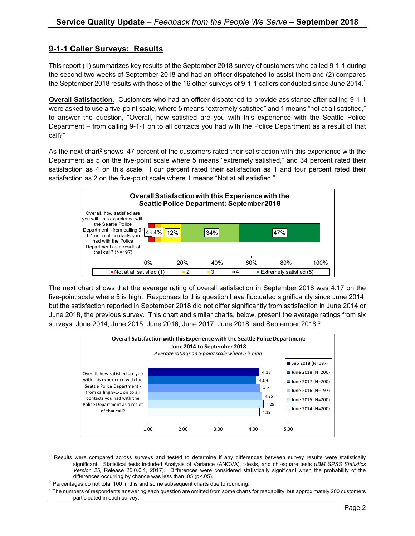#### **9-1-1 Caller Surveys: Results**

This report (1) summarizes key results of the September 2018 survey of customers who called 9-1-1 during the second two weeks of September 2018 and had an officer dispatched to assist them and (2) compares the September 2018 results with those of the 16 other surveys of 9-1-1 callers conducted since June 2014.<sup>1</sup>

**Overall Satisfaction.** Customers who had an officer dispatched to provide assistance after calling 9-1-1 were asked to use a five-point scale, where 5 means "extremely satisfied" and 1 means "not at all satisfied," to answer the question, "Overall, how satisfied are you with this experience with the Seattle Police Department – from calling 9-1-1 on to all contacts you had with the Police Department as a result of that call?"

As the next chart<sup>2</sup> shows, 47 percent of the customers rated their satisfaction with this experience with the Department as 5 on the five-point scale where 5 means "extremely satisfied," and 34 percent rated their satisfaction as 4 on this scale. Four percent rated their satisfaction as 1 and four percent rated their satisfaction as 2 on the five-point scale where 1 means "Not at all satisfied."



The next chart shows that the average rating of overall satisfaction in September 2018 was 4.17 on the five-point scale where 5 is high. Responses to this question have fluctuated significantly since June 2014, but the satisfaction reported in September 2018 did not differ significantly from satisfaction in June 2014 or June 2018, the previous survey. This chart and similar charts, below, present the average ratings from six surveys: June 2014, June 2015, June 2016, June 2017, June 2018, and September 2018. $^3$ 



 $1$  Results were compared across surveys and tested to determine if any differences between survey results were statistically significant. Statistical tests included Analysis of Variance (ANOVA), t-tests, and chi-square tests (*IBM SPSS Statistics Version 25,* Release 25.0.0.1, 2017). Differences were considered statistically significant when the probability of the differences occurring by chance was less than .05 (p<.05).

 $2$  Percentages do not total 100 in this and some subsequent charts due to rounding.

 $3$  The numbers of respondents answering each question are omitted from some charts for readability, but approximately 200 customers participated in each survey.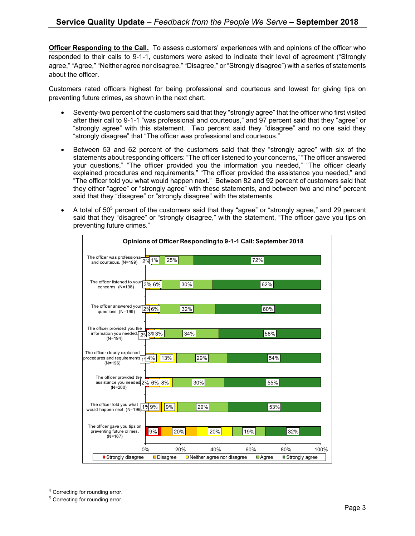**Officer Responding to the Call.** To assess customers' experiences with and opinions of the officer who responded to their calls to 9-1-1, customers were asked to indicate their level of agreement ("Strongly agree," "Agree," "Neither agree nor disagree," "Disagree," or "Strongly disagree") with a series of statements about the officer.

Customers rated officers highest for being professional and courteous and lowest for giving tips on preventing future crimes, as shown in the next chart.

- Seventy-two percent of the customers said that they "strongly agree" that the officer who first visited after their call to 9-1-1 "was professional and courteous," and 97 percent said that they "agree" or "strongly agree" with this statement. Two percent said they "disagree" and no one said they "strongly disagree" that "The officer was professional and courteous."
- Between 53 and 62 percent of the customers said that they "strongly agree" with six of the statements about responding officers: "The officer listened to your concerns," "The officer answered your questions," "The officer provided you the information you needed," "The officer clearly explained procedures and requirements," "The officer provided the assistance you needed," and "The officer told you what would happen next." Between 82 and 92 percent of customers said that they either "agree" or "strongly agree" with these statements, and between two and nine<sup>4</sup> percent said that they "disagree" or "strongly disagree" with the statements.
- A total of  $50<sup>5</sup>$  percent of the customers said that they "agree" or "strongly agree," and 29 percent said that they "disagree" or "strongly disagree," with the statement, "The officer gave you tips on preventing future crimes."

| The officer was professional<br>72%<br>25%<br>2% 1%<br>and courteous. (N=199)<br>The officer listened to your<br>3% 6%<br>30%<br>62%<br>concerns. (N=198)<br>The officer answered your<br>2%6%<br>32%<br>60%<br>questions. (N=199) |
|------------------------------------------------------------------------------------------------------------------------------------------------------------------------------------------------------------------------------------|
|                                                                                                                                                                                                                                    |
|                                                                                                                                                                                                                                    |
|                                                                                                                                                                                                                                    |
|                                                                                                                                                                                                                                    |
| The officer provided you the<br>29 39 3%<br>34%<br>58%<br>information you needed.<br>$(N=194)$                                                                                                                                     |
| The officer clearly explained<br>13%<br>procedures and requirements 10 4%<br>29%<br>54%<br>$(N=196)$                                                                                                                               |
| The officer provided the<br>assistance you needed 2% 6% 8%<br>30%<br>55%<br>$(N=200)$                                                                                                                                              |
| The officer told you what<br>would happen next. (N=196)1% 9%<br>9%<br>29%<br>53%                                                                                                                                                   |
| The officer gave you tips on<br>9%<br>20%<br>20%<br>19%<br>32%<br>preventing future crimes.<br>$(N=167)$                                                                                                                           |
| 0%<br>20%<br>40%<br>60%<br>80%<br>100%<br>Strongly disagree<br><b>D</b> isagree<br>$\Box$ Neither agree nor disagree<br><b>■</b> Strongly agree<br>$\blacksquare$ Agree                                                            |

 <sup>4</sup> Correcting for rounding error.

 $5$  Correcting for rounding error.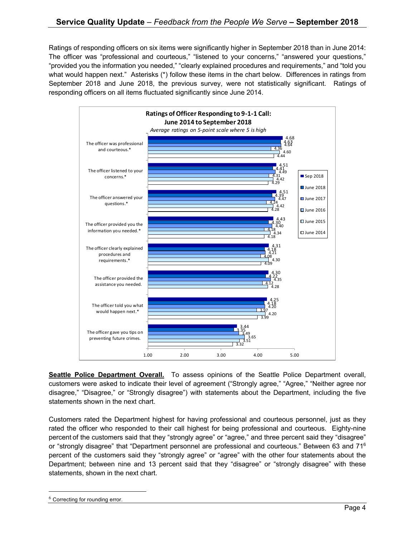Ratings of responding officers on six items were significantly higher in September 2018 than in June 2014: The officer was "professional and courteous," "listened to your concerns," "answered your questions," "provided you the information you needed," "clearly explained procedures and requirements," and "told you what would happen next." Asterisks (\*) follow these items in the chart below. Differences in ratings from September 2018 and June 2018, the previous survey, were not statistically significant. Ratings of responding officers on all items fluctuated significantly since June 2014.



**Seattle Police Department Overall.** To assess opinions of the Seattle Police Department overall, customers were asked to indicate their level of agreement ("Strongly agree," "Agree," "Neither agree nor disagree," "Disagree," or "Strongly disagree") with statements about the Department, including the five statements shown in the next chart.

Customers rated the Department highest for having professional and courteous personnel, just as they rated the officer who responded to their call highest for being professional and courteous. Eighty-nine percent of the customers said that they "strongly agree" or "agree," and three percent said they "disagree" or "strongly disagree" that "Department personnel are professional and courteous." Between 63 and 716 percent of the customers said they "strongly agree" or "agree" with the other four statements about the Department; between nine and 13 percent said that they "disagree" or "strongly disagree" with these statements, shown in the next chart.

<sup>&</sup>lt;sup>6</sup> Correcting for rounding error.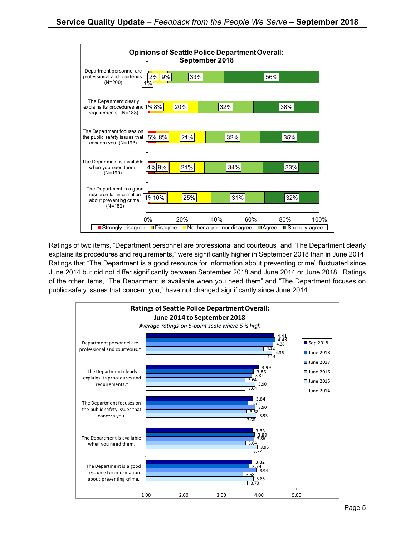

Ratings of two items, "Department personnel are professional and courteous" and "The Department clearly explains its procedures and requirements," were significantly higher in September 2018 than in June 2014. Ratings that "The Department is a good resource for information about preventing crime" fluctuated since June 2014 but did not differ significantly between September 2018 and June 2014 or June 2018. Ratings of the other items, "The Department is available when you need them" and "The Department focuses on public safety issues that concern you," have not changed significantly since June 2014.

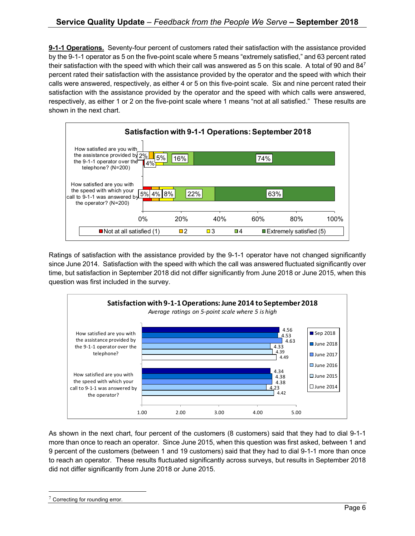**9-1-1 Operations.** Seventy-four percent of customers rated their satisfaction with the assistance provided by the 9-1-1 operator as 5 on the five-point scale where 5 means "extremely satisfied," and 63 percent rated their satisfaction with the speed with which their call was answered as 5 on this scale. A total of 90 and 84<sup>7</sup> percent rated their satisfaction with the assistance provided by the operator and the speed with which their calls were answered, respectively, as either 4 or 5 on this five-point scale. Six and nine percent rated their satisfaction with the assistance provided by the operator and the speed with which calls were answered, respectively, as either 1 or 2 on the five-point scale where 1 means "not at all satisfied." These results are shown in the next chart.



Ratings of satisfaction with the assistance provided by the 9-1-1 operator have not changed significantly since June 2014. Satisfaction with the speed with which the call was answered fluctuated significantly over time, but satisfaction in September 2018 did not differ significantly from June 2018 or June 2015, when this question was first included in the survey.



As shown in the next chart, four percent of the customers (8 customers) said that they had to dial 9-1-1 more than once to reach an operator. Since June 2015, when this question was first asked, between 1 and 9 percent of the customers (between 1 and 19 customers) said that they had to dial 9-1-1 more than once to reach an operator. These results fluctuated significantly across surveys, but results in September 2018 did not differ significantly from June 2018 or June 2015.

 $7$  Correcting for rounding error.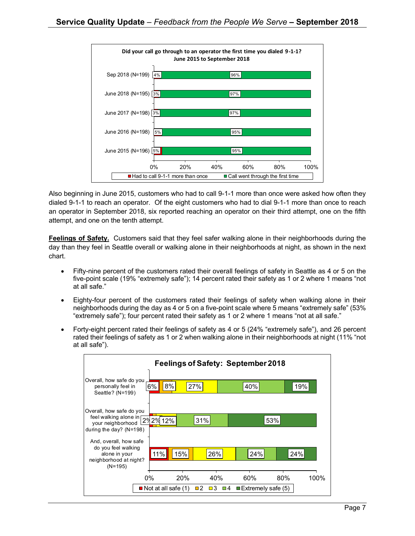

Also beginning in June 2015, customers who had to call 9-1-1 more than once were asked how often they dialed 9-1-1 to reach an operator. Of the eight customers who had to dial 9-1-1 more than once to reach an operator in September 2018, six reported reaching an operator on their third attempt, one on the fifth attempt, and one on the tenth attempt.

**Feelings of Safety.** Customers said that they feel safer walking alone in their neighborhoods during the day than they feel in Seattle overall or walking alone in their neighborhoods at night, as shown in the next chart.

- Fifty-nine percent of the customers rated their overall feelings of safety in Seattle as 4 or 5 on the five-point scale (19% "extremely safe"); 14 percent rated their safety as 1 or 2 where 1 means "not at all safe."
- Eighty-four percent of the customers rated their feelings of safety when walking alone in their neighborhoods during the day as 4 or 5 on a five-point scale where 5 means "extremely safe" (53% "extremely safe"); four percent rated their safety as 1 or 2 where 1 means "not at all safe."
- Forty-eight percent rated their feelings of safety as 4 or 5 (24% "extremely safe"), and 26 percent rated their feelings of safety as 1 or 2 when walking alone in their neighborhoods at night (11% "not at all safe").

| Feelings of Safety: September 2018                                                                                                             |                                    |            |                                    |                                   |     |      |  |
|------------------------------------------------------------------------------------------------------------------------------------------------|------------------------------------|------------|------------------------------------|-----------------------------------|-----|------|--|
| Overall, how safe do you<br>personally feel in<br>Seattle? (N=199)                                                                             | 6%                                 | 8%<br>27%  |                                    | 40%                               |     | 19%  |  |
| Overall, how safe do you<br>$\frac{1}{2}$ feel walking alone in 29<br>your neighborhood<br>during the day? $(N=198)$<br>And, overall, how safe | 2% 12%                             |            | 31%                                |                                   | 53% |      |  |
| do you feel walking<br>alone in your<br>neighborhood at night?<br>$(N=195)$                                                                    | 11%                                | 15%        | 26%                                | 24%                               | 24% |      |  |
|                                                                                                                                                | 0%                                 | <b>20%</b> | 40%                                | 60%                               | 80% | 100% |  |
|                                                                                                                                                | $\blacksquare$ Not at all safe (1) |            | $\blacksquare$ 2<br>$\Box$ 3<br>□4 | $\blacksquare$ Extremely safe (5) |     |      |  |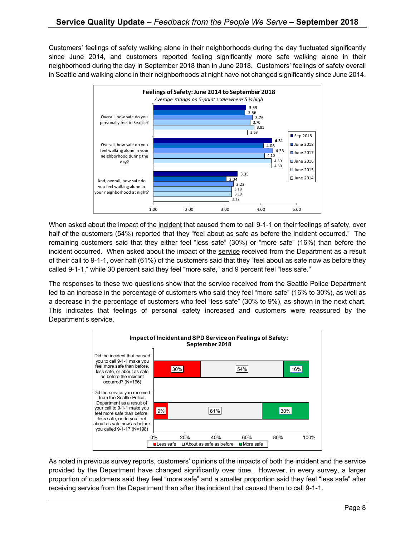Customers' feelings of safety walking alone in their neighborhoods during the day fluctuated significantly since June 2014, and customers reported feeling significantly more safe walking alone in their neighborhood during the day in September 2018 than in June 2018. Customers' feelings of safety overall in Seattle and walking alone in their neighborhoods at night have not changed significantly since June 2014.



When asked about the impact of the incident that caused them to call 9-1-1 on their feelings of safety, over half of the customers (54%) reported that they "feel about as safe as before the incident occurred." The remaining customers said that they either feel "less safe" (30%) or "more safe" (16%) than before the incident occurred. When asked about the impact of the service received from the Department as a result of their call to 9-1-1, over half (61%) of the customers said that they "feel about as safe now as before they called 9-1-1," while 30 percent said they feel "more safe," and 9 percent feel "less safe."

The responses to these two questions show that the service received from the Seattle Police Department led to an increase in the percentage of customers who said they feel "more safe" (16% to 30%), as well as a decrease in the percentage of customers who feel "less safe" (30% to 9%), as shown in the next chart. This indicates that feelings of personal safety increased and customers were reassured by the Department's service.



As noted in previous survey reports, customers' opinions of the impacts of both the incident and the service provided by the Department have changed significantly over time. However, in every survey, a larger proportion of customers said they feel "more safe" and a smaller proportion said they feel "less safe" after receiving service from the Department than after the incident that caused them to call 9-1-1.